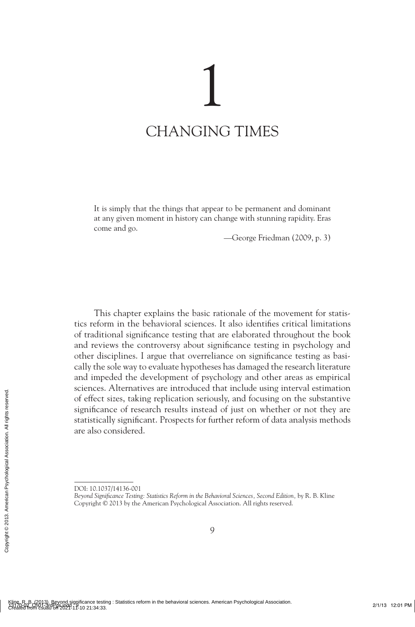# 1 CHANGING TIMES

It is simply that the things that appear to be permanent and dominant at any given moment in history can change with stunning rapidity. Eras come and go.

—George Friedman (2009, p. 3)

This chapter explains the basic rationale of the movement for statistics reform in the behavioral sciences. It also identifies critical limitations of traditional significance testing that are elaborated throughout the book and reviews the controversy about significance testing in psychology and other disciplines. I argue that overreliance on significance testing as basically the sole way to evaluate hypotheses has damaged the research literature and impeded the development of psychology and other areas as empirical sciences. Alternatives are introduced that include using interval estimation of effect sizes, taking replication seriously, and focusing on the substantive significance of research results instead of just on whether or not they are statistically significant. Prospects for further reform of data analysis methods are also considered. Provides a contract of effect<br>
Segminal of effect<br>
Significan<br>
Segminal and also completed from cause of a provident<br>
Created from Causa Copyright ©<br>
Copyright ©<br>
Copyright ©<br>
Copyright C<br>
Created from Causa Copyright 1-10

*9*

DOI: 10.1037/14136-001

*Beyond Significance Testing: Statistics Reform in the Behavioral Sciences, Second Edition,* by R. B. Kline Copyright © 2013 by the American Psychological Association. All rights reserved.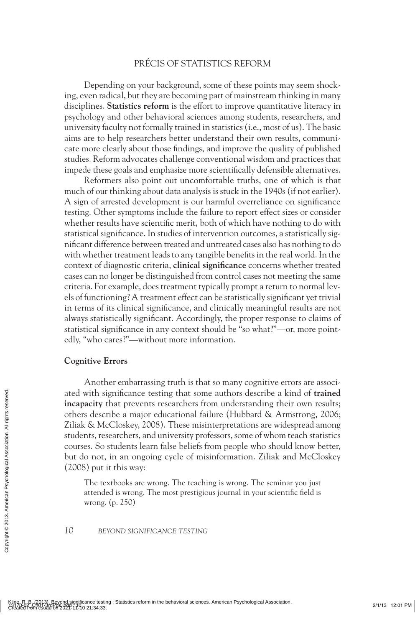# Précis of Statistics Reform

Depending on your background, some of these points may seem shocking, even radical, but they are becoming part of mainstream thinking in many disciplines. **Statistics reform** is the effort to improve quantitative literacy in psychology and other behavioral sciences among students, researchers, and university faculty not formally trained in statistics (i.e., most of us). The basic aims are to help researchers better understand their own results, communicate more clearly about those findings, and improve the quality of published studies. Reform advocates challenge conventional wisdom and practices that impede these goals and emphasize more scientifically defensible alternatives.

Reformers also point out uncomfortable truths, one of which is that much of our thinking about data analysis is stuck in the 1940s (if not earlier). A sign of arrested development is our harmful overreliance on significance testing. Other symptoms include the failure to report effect sizes or consider whether results have scientific merit, both of which have nothing to do with statistical significance. In studies of intervention outcomes, a statistically significant difference between treated and untreated cases also has nothing to do with whether treatment leads to any tangible benefits in the real world. In the context of diagnostic criteria, **clinical significance** concerns whether treated cases can no longer be distinguished from control cases not meeting the same criteria. For example, does treatment typically prompt a return to normal levels of functioning? A treatment effect can be statistically significant yet trivial in terms of its clinical significance, and clinically meaningful results are not always statistically significant. Accordingly, the proper response to claims of statistical significance in any context should be "so what?"—or, more pointedly, "who cares?"—without more information.

#### **Cognitive Errors**

Another embarrassing truth is that so many cognitive errors are associated with significance testing that some authors describe a kind of **trained incapacity** that prevents researchers from understanding their own results; others describe a major educational failure (Hubbard & Armstrong, 2006; Ziliak & McCloskey, 2008). These misinterpretations are widespread among students, researchers, and university professors, some of whom teach statistics courses. So students learn false beliefs from people who should know better, but do not, in an ongoing cycle of misinformation. Ziliak and McCloskey (2008) put it this way: Exercise<br>
Exercise on 2021<br>
Exercise on 2021<br>
Exercise Society<br>
Second Created from Courses. Social Association<br>
Second Created Trom Courses<br>
Copyrights responses<br>
Copyrights responses<br>
Copyrights responses<br>
Created from C

The textbooks are wrong. The teaching is wrong. The seminar you just attended is wrong. The most prestigious journal in your scientific field is wrong. (p. 250)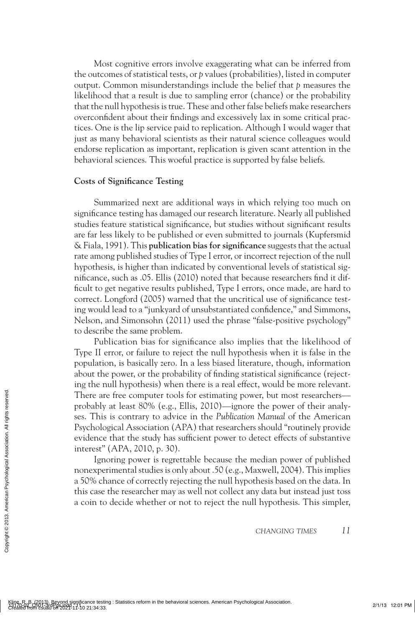Most cognitive errors involve exaggerating what can be inferred from the outcomes of statistical tests, or *p* values (probabilities), listed in computer output. Common misunderstandings include the belief that *p* measures the likelihood that a result is due to sampling error (chance) or the probability that the null hypothesis is true. These and other false beliefs make researchers overconfident about their findings and excessively lax in some critical practices. One is the lip service paid to replication. Although I would wager that just as many behavioral scientists as their natural science colleagues would endorse replication as important, replication is given scant attention in the behavioral sciences. This woeful practice is supported by false beliefs.

## **Costs of Significance Testing**

Summarized next are additional ways in which relying too much on significance testing has damaged our research literature. Nearly all published studies feature statistical significance, but studies without significant results are far less likely to be published or even submitted to journals (Kupfersmid & Fiala, 1991). This **publication bias for significance** suggests that the actual rate among published studies of Type I error, or incorrect rejection of the null hypothesis, is higher than indicated by conventional levels of statistical significance, such as .05. Ellis (2010) noted that because researchers find it difficult to get negative results published, Type I errors, once made, are hard to correct. Longford (2005) warned that the uncritical use of significance testing would lead to a "junkyard of unsubstantiated confidence," and Simmons, Nelson, and Simonsohn (2011) used the phrase "false-positive psychology" to describe the same problem.

Publication bias for significance also implies that the likelihood of Type II error, or failure to reject the null hypothesis when it is false in the population, is basically zero. In a less biased literature, though, information about the power, or the probability of finding statistical significance (rejecting the null hypothesis) when there is a real effect, would be more relevant. There are free computer tools for estimating power, but most researchers probably at least 80% (e.g., Ellis, 2010)—ignore the power of their analyses. This is contrary to advice in the *Publication Manual* of the American Psychological Association (APA) that researchers should "routinely provide evidence that the study has sufficient power to detect effects of substantive interest" (APA, 2010, p. 30). Peed from contact on 2021-11-10 21:34:33.<br>
Experimental Associations of 2021-11-10 21:34:34:33.<br>
Experimental Association. All rights reserved. Association. All rights reserved. All rights reserved. All rights reserved. Al

Ignoring power is regrettable because the median power of published nonexperimental studies is only about .50 (e.g., Maxwell, 2004). This implies a 50% chance of correctly rejecting the null hypothesis based on the data. In this case the researcher may as well not collect any data but instead just toss a coin to decide whether or not to reject the null hypothesis. This simpler,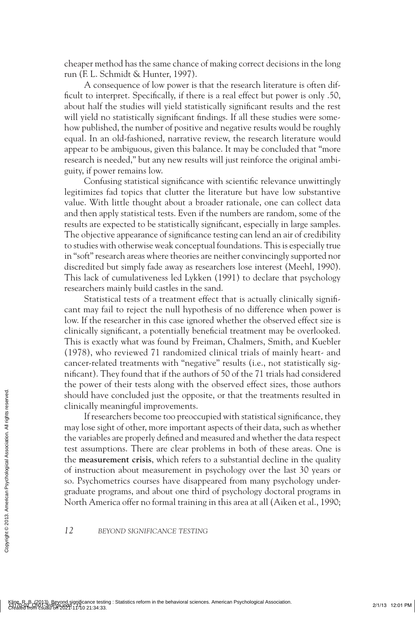cheaper method has the same chance of making correct decisions in the long run (F. L. Schmidt & Hunter, 1997).

A consequence of low power is that the research literature is often difficult to interpret. Specifically, if there is a real effect but power is only .50, about half the studies will yield statistically significant results and the rest will yield no statistically significant findings. If all these studies were somehow published, the number of positive and negative results would be roughly equal. In an old-fashioned, narrative review, the research literature would appear to be ambiguous, given this balance. It may be concluded that "more research is needed," but any new results will just reinforce the original ambiguity, if power remains low.

Confusing statistical significance with scientific relevance unwittingly legitimizes fad topics that clutter the literature but have low substantive value. With little thought about a broader rationale, one can collect data and then apply statistical tests. Even if the numbers are random, some of the results are expected to be statistically significant, especially in large samples. The objective appearance of significance testing can lend an air of credibility to studies with otherwise weak conceptual foundations. This is especially true in "soft" research areas where theories are neither convincingly supported nor discredited but simply fade away as researchers lose interest (Meehl, 1990). This lack of cumulativeness led Lykken (1991) to declare that psychology researchers mainly build castles in the sand.

Statistical tests of a treatment effect that is actually clinically significant may fail to reject the null hypothesis of no difference when power is low. If the researcher in this case ignored whether the observed effect size is clinically significant, a potentially beneficial treatment may be overlooked. This is exactly what was found by Freiman, Chalmers, Smith, and Kuebler (1978), who reviewed 71 randomized clinical trials of mainly heart- and cancer-related treatments with "negative" results (i.e., not statistically significant). They found that if the authors of 50 of the 71 trials had considered the power of their tests along with the observed effect sizes, those authors should have concluded just the opposite, or that the treatments resulted in clinically meaningful improvements.

If researchers become too preoccupied with statistical significance, they may lose sight of other, more important aspects of their data, such as whether the variables are properly defined and measured and whether the data respect test assumptions. There are clear problems in both of these areas. One is the **measurement crisis**, which refers to a substantial decline in the quality of instruction about measurement in psychology over the last 30 years or so. Psychometrics courses have disappeared from many psychology undergraduate programs, and about one third of psychology doctoral programs in North America offer no formal training in this area at all (Aiken et al., 1990; Exercise<br>
Exercise From Creating International Association<br>
Creating the variable<br>
test assump<br>
the **measur**<br>
of instruction<br>
so. Psychon<br>
graduate proprod. All rights reserved. All rights reserved. All rights reserved. Al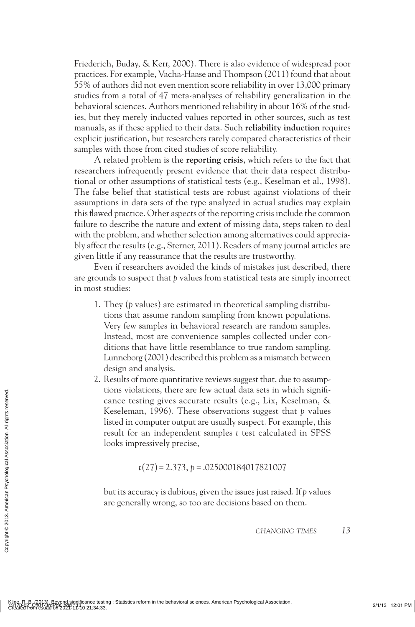Friederich, Buday, & Kerr, 2000). There is also evidence of widespread poor practices. For example, Vacha-Haase and Thompson (2011) found that about 55% of authors did not even mention score reliability in over 13,000 primary studies from a total of 47 meta-analyses of reliability generalization in the behavioral sciences. Authors mentioned reliability in about 16% of the studies, but they merely inducted values reported in other sources, such as test manuals, as if these applied to their data. Such **reliability induction** requires explicit justification, but researchers rarely compared characteristics of their samples with those from cited studies of score reliability.

A related problem is the **reporting crisis**, which refers to the fact that researchers infrequently present evidence that their data respect distributional or other assumptions of statistical tests (e.g., Keselman et al., 1998). The false belief that statistical tests are robust against violations of their assumptions in data sets of the type analyzed in actual studies may explain this flawed practice. Other aspects of the reporting crisis include the common failure to describe the nature and extent of missing data, steps taken to deal with the problem, and whether selection among alternatives could appreciably affect the results (e.g., Sterner, 2011). Readers of many journal articles are given little if any reassurance that the results are trustworthy.

Even if researchers avoided the kinds of mistakes just described, there are grounds to suspect that *p* values from statistical tests are simply incorrect in most studies:

- 1. They (*p* values) are estimated in theoretical sampling distributions that assume random sampling from known populations. Very few samples in behavioral research are random samples. Instead, most are convenience samples collected under conditions that have little resemblance to true random sampling. Lunneborg (2001) described this problem as a mismatch between design and analysis.
- 2. Results of more quantitative reviews suggest that, due to assumptions violations, there are few actual data sets in which significance testing gives accurate results (e.g., Lix, Keselman, & Keseleman, 1996). These observations suggest that *p* values listed in computer output are usually suspect. For example, this result for an independent samples *t* test calculated in SPSS looks impressively precise,

$$
t(27) = 2.373
$$
,  $p = .025000184017821007$ 

but its accuracy is dubious, given the issues just raised. If *p* values are generally wrong, so too are decisions based on them.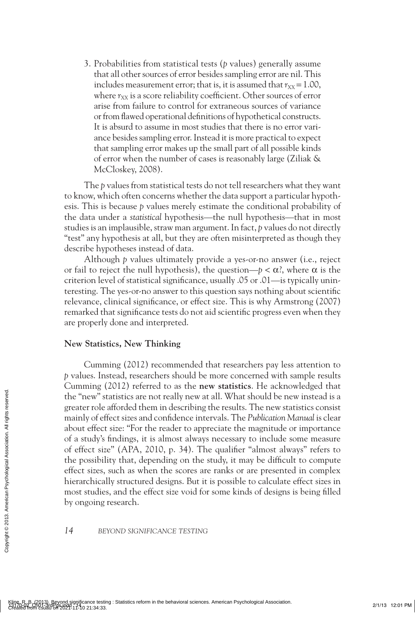3. Probabilities from statistical tests (*p* values) generally assume that all other sources of error besides sampling error are nil. This includes measurement error; that is, it is assumed that  $r_{xx} = 1.00$ , where  $r_{XX}$  is a score reliability coefficient. Other sources of error arise from failure to control for extraneous sources of variance or from flawed operational definitions of hypothetical constructs. It is absurd to assume in most studies that there is no error variance besides sampling error. Instead it is more practical to expect that sampling error makes up the small part of all possible kinds of error when the number of cases is reasonably large (Ziliak & McCloskey, 2008).

The *p* values from statistical tests do not tell researchers what they want to know, which often concerns whether the data support a particular hypothesis. This is because *p* values merely estimate the conditional probability of the data under a *statistical* hypothesis—the null hypothesis—that in most studies is an implausible, straw man argument. In fact, *p* values do not directly "test" any hypothesis at all, but they are often misinterpreted as though they describe hypotheses instead of data.

Although *p* values ultimately provide a yes-or-no answer (i.e., reject or fail to reject the null hypothesis), the question— $p < \alpha$ ?, where  $\alpha$  is the criterion level of statistical significance, usually .05 or .01—is typically uninteresting. The yes-or-no answer to this question says nothing about scientific relevance, clinical significance, or effect size. This is why Armstrong (2007) remarked that significance tests do not aid scientific progress even when they are properly done and interpreted.

### **New Statistics, New Thinking**

Cumming (2012) recommended that researchers pay less attention to *p* values. Instead, researchers should be more concerned with sample results Cumming (2012) referred to as the **new statistics**. He acknowledged that the "new" statistics are not really new at all. What should be new instead is a greater role afforded them in describing the results. The new statistics consist mainly of effect sizes and confidence intervals. The *Publication Manual* is clear about effect size: "For the reader to appreciate the magnitude or importance of a study's findings, it is almost always necessary to include some measure of effect size" (APA, 2010, p. 34). The qualifier "almost always" refers to the possibility that, depending on the study, it may be difficult to compute effect sizes, such as when the scores are ranks or are presented in complex hierarchically structured designs. But it is possible to calculate effect sizes in most studies, and the effect size void for some kinds of designs is being filled by ongoing research. Exercise<br>
Exercise the "new" state of the "new" state of the "new" state of the mainly of effect sizes<br>
of a study's<br>
of a study's<br>
of effect sizes,<br>
the possibil<br>
effect sizes,<br>
hierarchical<br>
most studies<br>
by ongoing<br>  $\frac$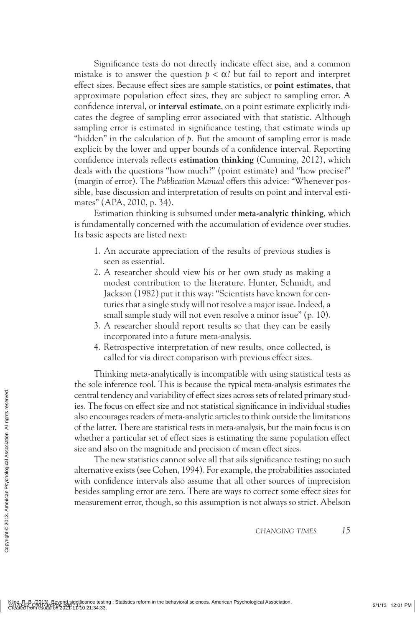Significance tests do not directly indicate effect size, and a common mistake is to answer the question  $p < \alpha$ ? but fail to report and interpret effect sizes. Because effect sizes are sample statistics, or **point estimates**, that approximate population effect sizes, they are subject to sampling error. A confidence interval, or **interval estimate**, on a point estimate explicitly indicates the degree of sampling error associated with that statistic. Although sampling error is estimated in significance testing, that estimate winds up "hidden" in the calculation of *p.* But the amount of sampling error is made explicit by the lower and upper bounds of a confidence interval. Reporting confidence intervals reflects **estimation thinking** (Cumming, 2012), which deals with the questions "how much?" (point estimate) and "how precise?" (margin of error). The *Publication Manual* offers this advice: "Whenever possible, base discussion and interpretation of results on point and interval estimates" (APA, 2010, p. 34).

Estimation thinking is subsumed under **meta-analytic thinking**, which is fundamentally concerned with the accumulation of evidence over studies. Its basic aspects are listed next:

- 1. An accurate appreciation of the results of previous studies is seen as essential.
- 2. A researcher should view his or her own study as making a modest contribution to the literature. Hunter, Schmidt, and Jackson (1982) put it this way: "Scientists have known for centuries that a single study will not resolve a major issue. Indeed, a small sample study will not even resolve a minor issue" (p. 10).
- 3. A researcher should report results so that they can be easily incorporated into a future meta-analysis.
- 4. Retrospective interpretation of new results, once collected, is called for via direct comparison with previous effect sizes.

Thinking meta-analytically is incompatible with using statistical tests as the sole inference tool. This is because the typical meta-analysis estimates the central tendency and variability of effect sizes across sets of related primary studies. The focus on effect size and not statistical significance in individual studies also encourages readers of meta-analytic articles to think outside the limitations of the latter. There are statistical tests in meta-analysis, but the main focus is on whether a particular set of effect sizes is estimating the same population effect size and also on the magnitude and precision of mean effect sizes. Exercise the discussion contral to<br>
Exercise Section Creates and a<br>
Creates of the latt<br>
size and a<br>
The alternative with conduction.<br>
Desides some<br>
Section. Association. All rights reserved.<br>
Created from Budd 64 2021-11-

The new statistics cannot solve all that ails significance testing; no such alternative exists (see Cohen, 1994). For example, the probabilities associated with confidence intervals also assume that all other sources of imprecision besides sampling error are zero. There are ways to correct some effect sizes for measurement error, though, so this assumption is not always so strict. Abelson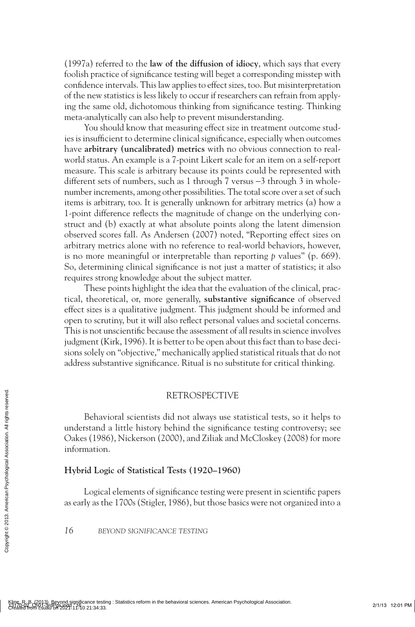(1997a) referred to the **law of the diffusion of idiocy**, which says that every foolish practice of significance testing will beget a corresponding misstep with confidence intervals. This law applies to effect sizes, too. But misinterpretation of the new statistics is less likely to occur if researchers can refrain from applying the same old, dichotomous thinking from significance testing. Thinking meta-analytically can also help to prevent misunderstanding.

You should know that measuring effect size in treatment outcome studies is insufficient to determine clinical significance, especially when outcomes have **arbitrary (uncalibrated) metrics** with no obvious connection to realworld status. An example is a 7-point Likert scale for an item on a self-report measure. This scale is arbitrary because its points could be represented with different sets of numbers, such as 1 through 7 versus -3 through 3 in wholenumber increments, among other possibilities. The total score over a set of such items is arbitrary, too. It is generally unknown for arbitrary metrics (a) how a 1-point difference reflects the magnitude of change on the underlying construct and (b) exactly at what absolute points along the latent dimension observed scores fall. As Andersen (2007) noted, "Reporting effect sizes on arbitrary metrics alone with no reference to real-world behaviors, however, is no more meaningful or interpretable than reporting *p* values" (p. 669). So, determining clinical significance is not just a matter of statistics; it also requires strong knowledge about the subject matter.

These points highlight the idea that the evaluation of the clinical, practical, theoretical, or, more generally, **substantive significance** of observed effect sizes is a qualitative judgment. This judgment should be informed and open to scrutiny, but it will also reflect personal values and societal concerns. This is not unscientific because the assessment of all results in science involves judgment (Kirk, 1996). It is better to be open about this fact than to base decisions solely on "objective," mechanically applied statistical rituals that do not address substantive significance. Ritual is no substitute for critical thinking.

#### Retrospective

Behavioral scientists did not always use statistical tests, so it helps to understand a little history behind the significance testing controversy; see Oakes (1986), Nickerson (2000), and Ziliak and McCloskey (2008) for more information. Created from csuau on 2021-11-10 21:34:33. Copyright © 2013. American Psychological Association. All rights reserved.

## **Hybrid Logic of Statistical Tests (1920–1960)**

Logical elements of significance testing were present in scientific papers as early as the 1700s (Stigler, 1986), but those basics were not organized into a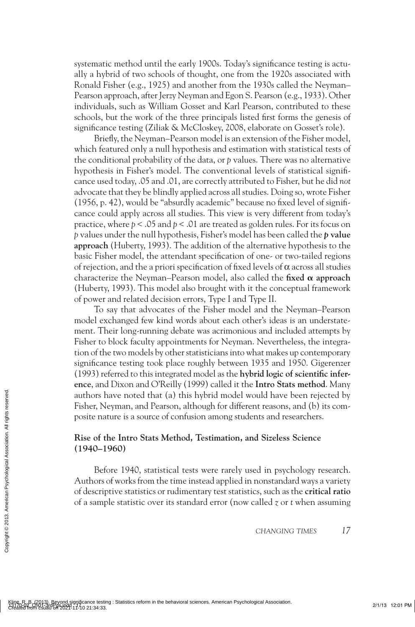systematic method until the early 1900s. Today's significance testing is actually a hybrid of two schools of thought, one from the 1920s associated with Ronald Fisher (e.g., 1925) and another from the 1930s called the Neyman– Pearson approach, after Jerzy Neyman and Egon S. Pearson (e.g., 1933). Other individuals, such as William Gosset and Karl Pearson, contributed to these schools, but the work of the three principals listed first forms the genesis of significance testing (Ziliak & McCloskey, 2008, elaborate on Gosset's role).

Briefly, the Neyman–Pearson model is an extension of the Fisher model, which featured only a null hypothesis and estimation with statistical tests of the conditional probability of the data, or *p* values. There was no alternative hypothesis in Fisher's model. The conventional levels of statistical significance used today, .05 and .01, are correctly attributed to Fisher, but he did *not* advocate that they be blindly applied across all studies. Doing so, wrote Fisher (1956, p. 42), would be "absurdly academic" because no fixed level of significance could apply across all studies. This view is very different from today's practice, where *p* < .05 and *p* < .01 are treated as golden rules. For its focus on *p* values under the null hypothesis, Fisher's model has been called the *p* **value approach** (Huberty, 1993). The addition of the alternative hypothesis to the basic Fisher model, the attendant specification of one- or two-tailed regions of rejection, and the a priori specification of fixed levels of  $\alpha$  across all studies characterize the Neyman–Pearson model, also called the **fixed**  $\alpha$  **approach** (Huberty, 1993). This model also brought with it the conceptual framework of power and related decision errors, Type I and Type II.

To say that advocates of the Fisher model and the Neyman–Pearson model exchanged few kind words about each other's ideas is an understatement. Their long-running debate was acrimonious and included attempts by Fisher to block faculty appointments for Neyman. Nevertheless, the integration of the two models by other statisticians into what makes up contemporary significance testing took place roughly between 1935 and 1950. Gigerenzer (1993) referred to this integrated model as the **hybrid logic of scientific inference**, and Dixon and O'Reilly (1999) called it the **Intro Stats method**. Many authors have noted that (a) this hybrid model would have been rejected by Fisher, Neyman, and Pearson, although for different reasons, and (b) its composite nature is a source of confusion among students and researchers.

# **Rise of the Intro Stats Method, Testimation, and Sizeless Science (1940–1960)**

Before 1940, statistical tests were rarely used in psychology research. Authors of works from the time instead applied in nonstandard ways a variety of descriptive statistics or rudimentary test statistics, such as the **critical ratio** of a sample statistic over its standard error (now called *z* or *t* when assuming Exercise<br>
Exercise<br>
Exercise<br>
Created from csual Association<br>
Created from csual Created from csual Created from csual Created from csual Created from csual Created from csual Created from csual Created from csual Created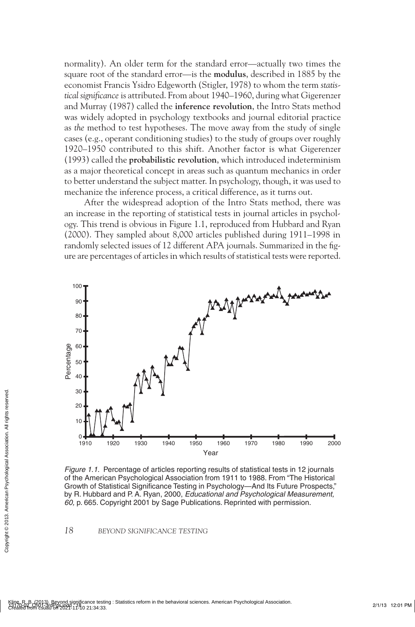normality). An older term for the standard error—actually two times the square root of the standard error—is the **modulus**, described in 1885 by the economist Francis Ysidro Edgeworth (Stigler, 1978) to whom the term *statistical significance* is attributed. From about 1940–1960, during what Gigerenzer and Murray (1987) called the **inference revolution**, the Intro Stats method was widely adopted in psychology textbooks and journal editorial practice as *the* method to test hypotheses. The move away from the study of single cases (e.g., operant conditioning studies) to the study of groups over roughly 1920–1950 contributed to this shift. Another factor is what Gigerenzer (1993) called the **probabilistic revolution**, which introduced indeterminism as a major theoretical concept in areas such as quantum mechanics in order to better understand the subject matter. In psychology, though, it was used to mechanize the inference process, a critical difference, as it turns out.

After the widespread adoption of the Intro Stats method, there was an increase in the reporting of statistical tests in journal articles in psychology. This trend is obvious in Figure 1.1, reproduced from Hubbard and Ryan (2000). They sampled about 8,000 articles published during 1911–1998 in randomly selected issues of 12 different APA journals. Summarized in the figure are percentages of articles in which results of statistical tests were reported.



*Figure 1.1.* Percentage of articles reporting results of statistical tests in 12 journals of the American Psychological Association from 1911 to 1988. From "The Historical Growth of Statistical Significance Testing in Psychology—And Its Future Prospects," by R. Hubbard and P. A. Ryan, 2000, *Educational and Psychological Measurement, 60,* p. 665. Copyright 2001 by Sage Publications. Reprinted with permission.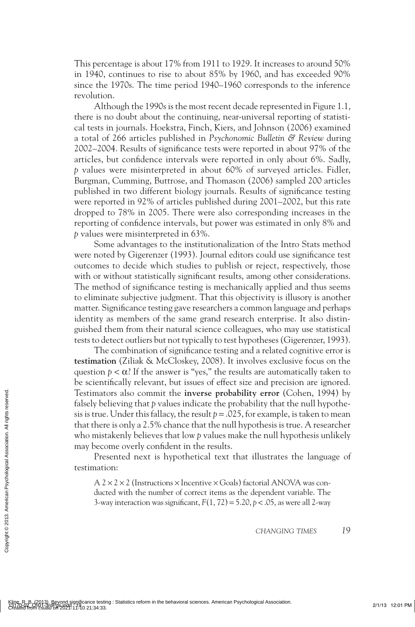This percentage is about 17% from 1911 to 1929. It increases to around 50% in 1940, continues to rise to about 85% by 1960, and has exceeded 90% since the 1970s. The time period 1940–1960 corresponds to the inference revolution.

Although the 1990s is the most recent decade represented in Figure 1.1, there is no doubt about the continuing, near-universal reporting of statistical tests in journals. Hoekstra, Finch, Kiers, and Johnson (2006) examined a total of 266 articles published in *Psychonomic Bulletin & Review* during 2002–2004. Results of significance tests were reported in about 97% of the articles, but confidence intervals were reported in only about 6%. Sadly, *p* values were misinterpreted in about 60% of surveyed articles. Fidler, Burgman, Cumming, Buttrose, and Thomason (2006) sampled 200 articles published in two different biology journals. Results of significance testing were reported in 92% of articles published during 2001–2002, but this rate dropped to 78% in 2005. There were also corresponding increases in the reporting of confidence intervals, but power was estimated in only 8% and *p* values were misinterpreted in 63%.

Some advantages to the institutionalization of the Intro Stats method were noted by Gigerenzer (1993). Journal editors could use significance test outcomes to decide which studies to publish or reject, respectively, those with or without statistically significant results, among other considerations. The method of significance testing is mechanically applied and thus seems to eliminate subjective judgment. That this objectivity is illusory is another matter. Significance testing gave researchers a common language and perhaps identity as members of the same grand research enterprise. It also distinguished them from their natural science colleagues, who may use statistical tests to detect outliers but not typically to test hypotheses (Gigerenzer, 1993).

The combination of significance testing and a related cognitive error is **testimation** (Ziliak & McCloskey, 2008). It involves exclusive focus on the question  $p < \alpha$ ? If the answer is "yes," the results are automatically taken to be scientifically relevant, but issues of effect size and precision are ignored. Testimators also commit the **inverse probability error** (Cohen, 1994) by falsely believing that *p* values indicate the probability that the null hypothesis is true. Under this fallacy, the result  $p = .025$ , for example, is taken to mean that there is only a 2.5% chance that the null hypothesis is true. A researcher who mistakenly believes that low *p* values make the null hypothesis unlikely may become overly confident in the results. Testimat<br>
Extinat<br>
falsely be<br>
sis is true<br>
that there<br>
who mist<br>
may becc<br>
Pre<br>
testimation. A 2<br>
duct<br>
3-w:<br>
signal reserved. A 2<br>
duct<br>
3-w:<br>
signal reserved. A 2<br>
duct<br>
3-w:<br>
Signal respond significance test<br>
created f

Presented next is hypothetical text that illustrates the language of testimation:

 $A$  2  $\times$  2  $\times$  2 (Instructions  $\times$  Incentive  $\times$  Goals) factorial ANOVA was conducted with the number of correct items as the dependent variable. The 3-way interaction was significant,  $F(1, 72) = 5.20$ ,  $p < .05$ , as were all 2-way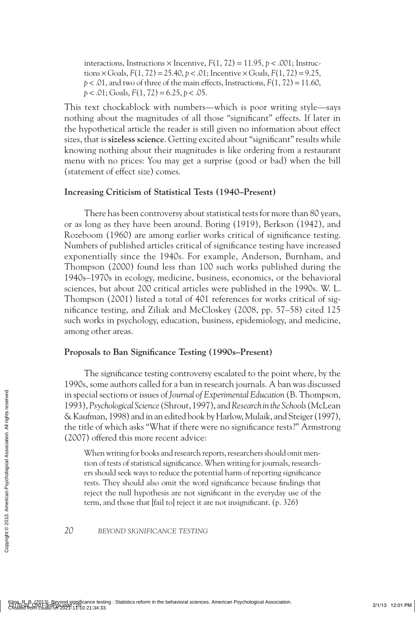interactions, Instructions  $\times$  Incentive,  $F(1, 72) = 11.95$ ,  $p < .001$ ; Instructions  $\times$  Goals,  $F(1, 72) = 25.40$ ,  $p < .01$ ; Incentive  $\times$  Goals,  $F(1, 72) = 9.25$ ,  $p < .01$ , and two of three of the main effects, Instructions,  $F(1, 72) = 11.60$ , *p* < .01; Goals, *F*(1, 72) = 6.25, *p* < .05.

This text chockablock with numbers—which is poor writing style—says nothing about the magnitudes of all those "significant" effects. If later in the hypothetical article the reader is still given no information about effect sizes, that is **sizeless science**. Getting excited about "significant" results while knowing nothing about their magnitudes is like ordering from a restaurant menu with no prices: You may get a surprise (good or bad) when the bill (statement of effect size) comes.

## **Increasing Criticism of Statistical Tests (1940–Present)**

There has been controversy about statistical tests for more than 80 years, or as long as they have been around. Boring (1919), Berkson (1942), and Rozeboom (1960) are among earlier works critical of significance testing. Numbers of published articles critical of significance testing have increased exponentially since the 1940s. For example, Anderson, Burnham, and Thompson (2000) found less than 100 such works published during the 1940s–1970s in ecology, medicine, business, economics, or the behavioral sciences, but about 200 critical articles were published in the 1990s. W. L. Thompson (2001) listed a total of 401 references for works critical of significance testing, and Ziliak and McCloskey (2008, pp. 57–58) cited 125 such works in psychology, education, business, epidemiology, and medicine, among other areas.

#### **Proposals to Ban Significance Testing (1990s–Present)**

The significance testing controversy escalated to the point where, by the 1990s, some authors called for a ban in research journals. A ban was discussed in special sections or issues of *Journal of Experimental Education* (B. Thompson, 1993), *Psychological Science* (Shrout, 1997), and *Research in the Schools* (McLean & Kaufman, 1998) and in an edited book by Harlow, Mulaik, and Steiger (1997), the title of which asks "What if there were no significance tests?" Armstrong (2007) offered this more recent advice: Exercise in special se<br>
Exercise (1993), Psych<br>
Contained from containing the title of v<br>
(2007) offer<br>
When<br>
tion of<br>
exercise of the title of v<br>
tests. T<br>
reject t<br>
term, a<br>
exercise of the Business responses<br>
Created fr

When writing for books and research reports, researchers should omit mention of tests of statistical significance. When writing for journals, researchers should seek ways to reduce the potential harm of reporting significance tests. They should also omit the word significance because findings that reject the null hypothesis are not significant in the everyday use of the term, and those that [fail to] reject it are not insignificant. (p. 326)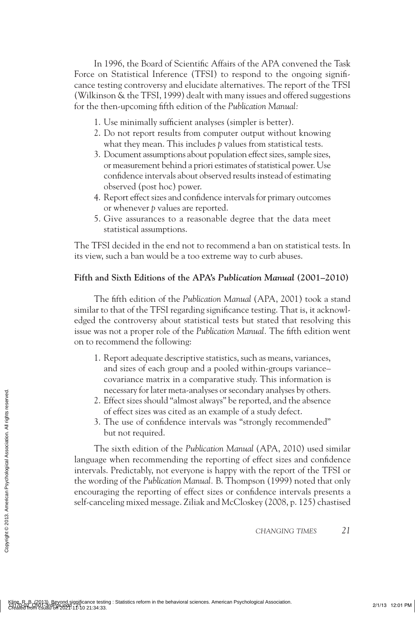In 1996, the Board of Scientific Affairs of the APA convened the Task Force on Statistical Inference (TFSI) to respond to the ongoing significance testing controversy and elucidate alternatives. The report of the TFSI (Wilkinson & the TFSI, 1999) dealt with many issues and offered suggestions for the then-upcoming fifth edition of the *Publication Manual:*

- 1. Use minimally sufficient analyses (simpler is better).
- 2. Do not report results from computer output without knowing what they mean. This includes *p* values from statistical tests.
- 3. Document assumptions about population effect sizes, sample sizes, or measurement behind a priori estimates of statistical power. Use confidence intervals about observed results instead of estimating observed (post hoc) power.
- 4. Report effect sizes and confidence intervals for primary outcomes or whenever *p* values are reported.
- 5. Give assurances to a reasonable degree that the data meet statistical assumptions.

The TFSI decided in the end not to recommend a ban on statistical tests. In its view, such a ban would be a too extreme way to curb abuses.

## **Fifth and Sixth Editions of the APA's** *Publication Manual* **(2001–2010)**

The fifth edition of the *Publication Manual* (APA, 2001) took a stand similar to that of the TFSI regarding significance testing. That is, it acknowledged the controversy about statistical tests but stated that resolving this issue was not a proper role of the *Publication Manual.* The fifth edition went on to recommend the following:

- 1. Report adequate descriptive statistics, such as means, variances, and sizes of each group and a pooled within-groups variance– covariance matrix in a comparative study. This information is necessary for later meta-analyses or secondary analyses by others.
- 2. Effect sizes should "almost always" be reported, and the absence of effect sizes was cited as an example of a study defect.
- 3. The use of confidence intervals was "strongly recommended" but not required.

The sixth edition of the *Publication Manual* (APA, 2010) used similar language when recommending the reporting of effect sizes and confidence intervals. Predictably, not everyone is happy with the report of the TFSI or the wording of the *Publication Manual.* B. Thompson (1999) noted that only encouraging the reporting of effect sizes or confidence intervals presents a self-canceling mixed message. Ziliak and McCloskey (2008, p. 125) chastised Provides a contract control on 2021-11-10 21:34:33.<br>
The language intervals<br>
stream copyright of the word encourage self-cance<br>
Served From Budd Branch Copyright Canada<br>
Created from Budd Branch (11-10 21:34:33.<br>
Created f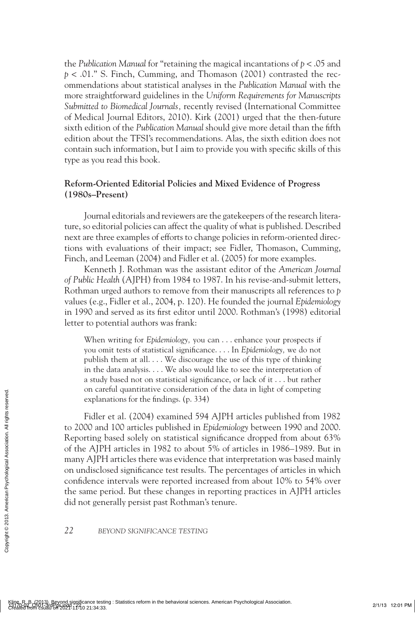the *Publication Manual* for "retaining the magical incantations of *p* < .05 and *p* < .01." S. Finch, Cumming, and Thomason (2001) contrasted the recommendations about statistical analyses in the *Publication Manual* with the more straightforward guidelines in the *Uniform Requirements for Manuscripts Submitted to Biomedical Journals,* recently revised (International Committee of Medical Journal Editors, 2010). Kirk (2001) urged that the then-future sixth edition of the *Publication Manual* should give more detail than the fifth edition about the TFSI's recommendations. Alas, the sixth edition does not contain such information, but I aim to provide you with specific skills of this type as you read this book.

## **Reform-Oriented Editorial Policies and Mixed Evidence of Progress (1980s–Present)**

Journal editorials and reviewers are the gatekeepers of the research literature, so editorial policies can affect the quality of what is published. Described next are three examples of efforts to change policies in reform-oriented directions with evaluations of their impact; see Fidler, Thomason, Cumming, Finch, and Leeman (2004) and Fidler et al. (2005) for more examples.

Kenneth J. Rothman was the assistant editor of the *American Journal of Public Health* (AJPH) from 1984 to 1987. In his revise-and-submit letters, Rothman urged authors to remove from their manuscripts all references to *p* values (e.g., Fidler et al., 2004, p. 120). He founded the journal *Epidemiology* in 1990 and served as its first editor until 2000. Rothman's (1998) editorial letter to potential authors was frank:

When writing for *Epidemiology,* you can . . . enhance your prospects if you omit tests of statistical significance. . . . In *Epidemiology,* we do not publish them at all. . . . We discourage the use of this type of thinking in the data analysis. . . . We also would like to see the interpretation of a study based not on statistical significance, or lack of it . . . but rather on careful quantitative consideration of the data in light of competing explanations for the findings. (p. 334)

Fidler et al. (2004) examined 594 AJPH articles published from 1982 to 2000 and 100 articles published in *Epidemiology* between 1990 and 2000. Reporting based solely on statistical significance dropped from about 63% of the AJPH articles in 1982 to about 5% of articles in 1986–1989. But in many AJPH articles there was evidence that interpretation was based mainly on undisclosed significance test results. The percentages of articles in which confidence intervals were reported increased from about 10% to 54% over the same period. But these changes in reporting practices in AJPH articles did not generally persist past Rothman's tenure. Exercise<br>
Exercise Figure on 2020 and<br>
Created from care of the AJPH<br>
confidence<br>
the same pedid not generally<br>
the same pedid not generally<br>
Separated from Budd SP22P-11-10 21:34:33.<br>
Created from Budd SP22P-11-10 21:34:3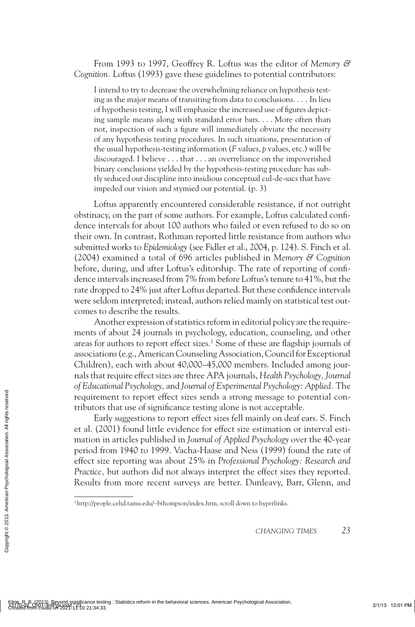From 1993 to 1997, Geoffrey R. Loftus was the editor of *Memory & Cognition.* Loftus (1993) gave these guidelines to potential contributors:

I intend to try to decrease the overwhelming reliance on hypothesis testing as the major means of transiting from data to conclusions. . . . In lieu of hypothesis testing, I will emphasize the increased use of figures depicting sample means along with standard error bars. . . . More often than not, inspection of such a figure will immediately obviate the necessity of any hypothesis testing procedures. In such situations, presentation of the usual hypothesis-testing information (*F* values, *p* values, etc.) will be discouraged. I believe . . . that . . . an overreliance on the impoverished binary conclusions yielded by the hypothesis-testing procedure has subtly seduced our discipline into insidious conceptual cul-de-sacs that have impeded our vision and stymied our potential. (p. 3)

Loftus apparently encountered considerable resistance, if not outright obstinacy, on the part of some authors. For example, Loftus calculated confidence intervals for about 100 authors who failed or even refused to do so on their own. In contrast, Rothman reported little resistance from authors who submitted works to *Epidemiology* (see Fidler et al., 2004, p. 124). S. Finch et al. (2004) examined a total of 696 articles published in *Memory & Cognition* before, during, and after Loftus's editorship. The rate of reporting of confidence intervals increased from 7% from before Loftus's tenure to 41%, but the rate dropped to 24% just after Loftus departed. But these confidence intervals were seldom interpreted; instead, authors relied mainly on statistical test outcomes to describe the results.

Another expression of statistics reform in editorial policy are the requirements of about 24 journals in psychology, education, counseling, and other areas for authors to report effect sizes.<sup>1</sup> Some of these are flagship journals of associations (e.g., American Counseling Association, Council for Exceptional Children), each with about 40,000–45,000 members. Included among journals that require effect sizes are three APA journals, *Health Psychology, Journal of Educational Psychology,* and *Journal of Experimental Psychology: Applied.* The requirement to report effect sizes sends a strong message to potential contributors that use of significance testing alone is not acceptable.

Early suggestions to report effect sizes fell mainly on deaf ears. S. Finch et al. (2001) found little evidence for effect size estimation or interval estimation in articles published in *Journal of Applied Psychology* over the 40-year period from 1940 to 1999. Vacha-Haase and Ness (1999) found the rate of effect size reporting was about 25% in *Professional Psychology: Research and Practice,* but authors did not always interpret the effect sizes they reported. Results from more recent surveys are better. Dunleavy, Barr, Glenn, and Produces<br>
Exercise From Created From Created From Created From Created From Created From Caps<br>
Second Scotland Created From Created From Created From Created From Created From Created From Created From Created From Created

<sup>1</sup>http://people.cehd.tamu.edu/~bthompson/index.htm, scroll down to hyperlinks.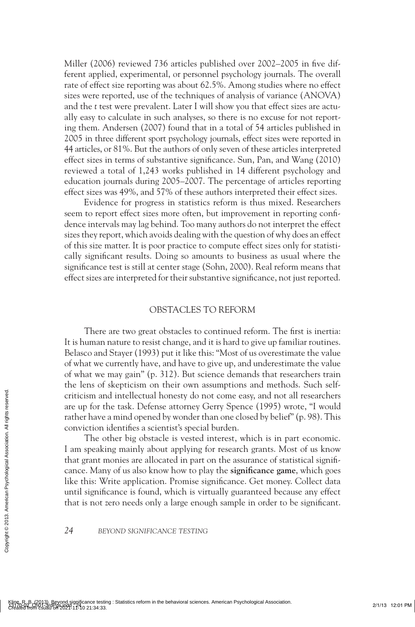Miller (2006) reviewed 736 articles published over 2002–2005 in five different applied, experimental, or personnel psychology journals. The overall rate of effect size reporting was about 62.5%. Among studies where no effect sizes were reported, use of the techniques of analysis of variance (ANOVA) and the *t* test were prevalent. Later I will show you that effect sizes are actually easy to calculate in such analyses, so there is no excuse for not reporting them. Andersen (2007) found that in a total of 54 articles published in 2005 in three different sport psychology journals, effect sizes were reported in 44 articles, or 81%. But the authors of only seven of these articles interpreted effect sizes in terms of substantive significance. Sun, Pan, and Wang (2010) reviewed a total of 1,243 works published in 14 different psychology and education journals during 2005–2007. The percentage of articles reporting effect sizes was 49%, and 57% of these authors interpreted their effect sizes.

Evidence for progress in statistics reform is thus mixed. Researchers seem to report effect sizes more often, but improvement in reporting confidence intervals may lag behind. Too many authors do not interpret the effect sizes they report, which avoids dealing with the question of why does an effect of this size matter. It is poor practice to compute effect sizes only for statistically significant results. Doing so amounts to business as usual where the significance test is still at center stage (Sohn, 2000). Real reform means that effect sizes are interpreted for their substantive significance, not just reported.

## Obstacles to Reform

There are two great obstacles to continued reform. The first is inertia: It is human nature to resist change, and it is hard to give up familiar routines. Belasco and Stayer (1993) put it like this: "Most of us overestimate the value of what we currently have, and have to give up, and underestimate the value of what we may gain" (p. 312). But science demands that researchers train the lens of skepticism on their own assumptions and methods. Such selfcriticism and intellectual honesty do not come easy, and not all researchers are up for the task. Defense attorney Gerry Spence (1995) wrote, "I would rather have a mind opened by wonder than one closed by belief" (p. 98). This conviction identifies a scientist's special burden.

The other big obstacle is vested interest, which is in part economic. I am speaking mainly about applying for research grants. Most of us know that grant monies are allocated in part on the assurance of statistical significance. Many of us also know how to play the **significance game**, which goes like this: Write application. Promise significance. Get money. Collect data until significance is found, which is virtually guaranteed because any effect that is not zero needs only a large enough sample in order to be significant. Exercise<br>
Exercise the conviction<br>
The o<br>
Conviction<br>
The o<br>
I am speaking<br>
that grant n<br>
cance. Man<br>
like this: What is not z<br>
served.<br>
Exercise the computer of the summer<br>
Exercise the convention.<br>
Copyrights respond sig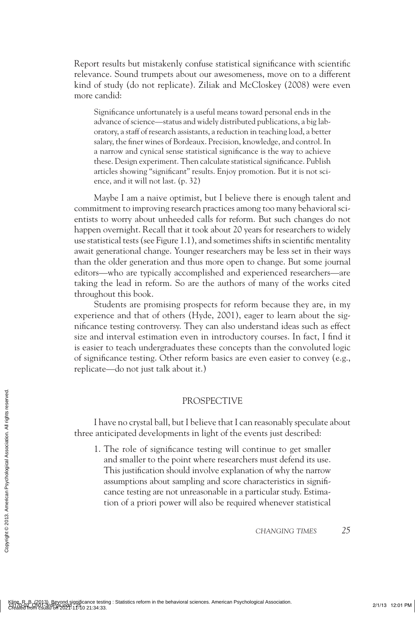Report results but mistakenly confuse statistical significance with scientific relevance. Sound trumpets about our awesomeness, move on to a different kind of study (do not replicate). Ziliak and McCloskey (2008) were even more candid:

Significance unfortunately is a useful means toward personal ends in the advance of science—status and widely distributed publications, a big laboratory, a staff of research assistants, a reduction in teaching load, a better salary, the finer wines of Bordeaux. Precision, knowledge, and control. In a narrow and cynical sense statistical significance is the way to achieve these. Design experiment. Then calculate statistical significance. Publish articles showing "significant" results. Enjoy promotion. But it is not science, and it will not last. (p. 32)

Maybe I am a naive optimist, but I believe there is enough talent and commitment to improving research practices among too many behavioral scientists to worry about unheeded calls for reform. But such changes do not happen overnight. Recall that it took about 20 years for researchers to widely use statistical tests (see Figure 1.1), and sometimes shifts in scientific mentality await generational change. Younger researchers may be less set in their ways than the older generation and thus more open to change. But some journal editors—who are typically accomplished and experienced researchers—are taking the lead in reform. So are the authors of many of the works cited throughout this book.

Students are promising prospects for reform because they are, in my experience and that of others (Hyde, 2001), eager to learn about the significance testing controversy. They can also understand ideas such as effect size and interval estimation even in introductory courses. In fact, I find it is easier to teach undergraduates these concepts than the convoluted logic of significance testing. Other reform basics are even easier to convey (e.g., replicate—do not just talk about it.)

#### **PROSPECTIVE**

I have no crystal ball, but I believe that I can reasonably speculate about three anticipated developments in light of the events just described:

1. The role of significance testing will continue to get smaller and smaller to the point where researchers must defend its use. This justification should involve explanation of why the narrow assumptions about sampling and score characteristics in significance testing are not unreasonable in a particular study. Estimation of a priori power will also be required whenever statistical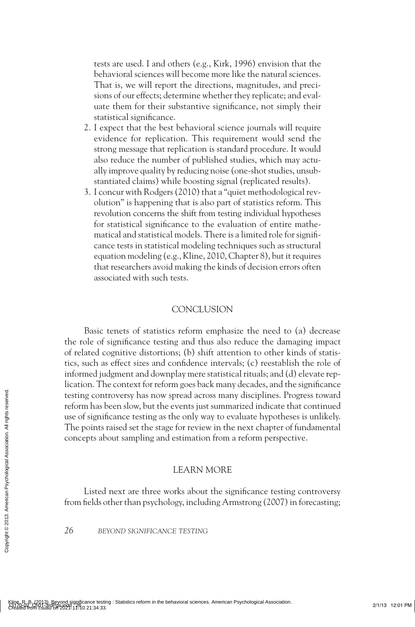tests are used. I and others (e.g., Kirk, 1996) envision that the behavioral sciences will become more like the natural sciences. That is, we will report the directions, magnitudes, and precisions of our effects; determine whether they replicate; and evaluate them for their substantive significance, not simply their statistical significance.

- 2. I expect that the best behavioral science journals will require evidence for replication. This requirement would send the strong message that replication is standard procedure. It would also reduce the number of published studies, which may actually improve quality by reducing noise (one-shot studies, unsubstantiated claims) while boosting signal (replicated results).
- 3. I concur with Rodgers (2010) that a "quiet methodological revolution" is happening that is also part of statistics reform. This revolution concerns the shift from testing individual hypotheses for statistical significance to the evaluation of entire mathematical and statistical models. There is a limited role for significance tests in statistical modeling techniques such as structural equation modeling (e.g., Kline, 2010, Chapter 8), but it requires that researchers avoid making the kinds of decision errors often associated with such tests.

#### **CONCLUSION**

Basic tenets of statistics reform emphasize the need to (a) decrease the role of significance testing and thus also reduce the damaging impact of related cognitive distortions; (b) shift attention to other kinds of statistics, such as effect sizes and confidence intervals; (c) reestablish the role of informed judgment and downplay mere statistical rituals; and (d) elevate replication. The context for reform goes back many decades, and the significance testing controversy has now spread across many disciplines. Progress toward reform has been slow, but the events just summarized indicate that continued use of significance testing as the only way to evaluate hypotheses is unlikely. The points raised set the stage for review in the next chapter of fundamental concepts about sampling and estimation from a reform perspective. Example are different from contractors are the contractors are the contractors are the concepts ab<br>
different concepts ab<br>
different concepts ab<br>
different concepts reserved.<br>
Example R, B, (2013), Beyond significance test

## Learn More

Listed next are three works about the significance testing controversy from fields other than psychology, including Armstrong (2007) in forecasting;